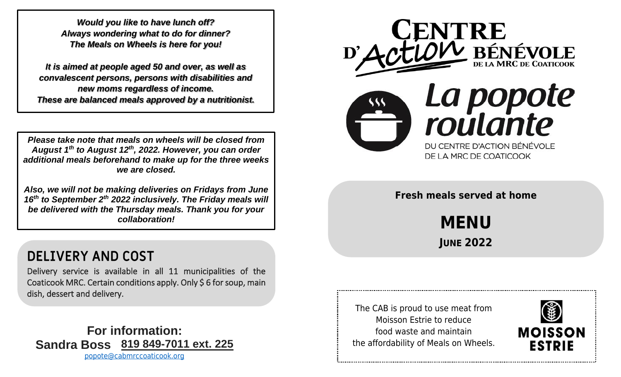*Always wondering what to do for dinner? Would you like to have lunch off? The Meals on Wheels is here for you!*

**FOR INFORMATION** *new moms regardless of income.* **These are balanced meals approved by a nutritionist.** *It is aimed at people aged 50 and over, as well as convalescent persons, persons with disabilities and*

*Please take note that meals on wheels will be closed from August 1th to August 12th, 2022. However, you can order additional meals beforehand to make up for the three weeks we are closed.*

*Also, we will not be making deliveries on Fridays from June 16 th to September 2 th 2022 inclusively. The Friday meals will be delivered with the Thursday meals. Thank you for your collaboration!*

## **DELIVERY AND COST**

Delivery service is available in all 11 municipalities of the Coaticook MRC. Certain conditions apply. Only \$ 6 for soup, main dish, dessert and delivery.

## **For information: Sandra Boss 819 849-7011 ext. 225**

[popote@cabmrccoaticook.org](mailto:popote@cabmrccoaticook.org)



**Fresh meals served at home** 

**MENU JUNE 2022**

The CAB is proud to use meat from Moisson Estrie to reduce food waste and maintain the affordability of Meals on Wheels.